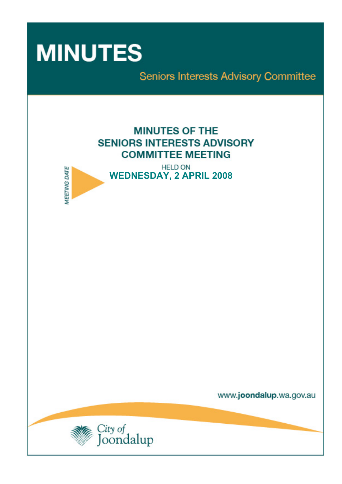

**MEETING DATE** 

Seniors Interests Advisory Committee

# **MINUTES OF THE SENIORS INTERESTS ADVISORY COMMITTEE MEETING**

**HELD ON WEDNESDAY, 2 APRIL 2008** 

www.joondalup.wa.gov.au

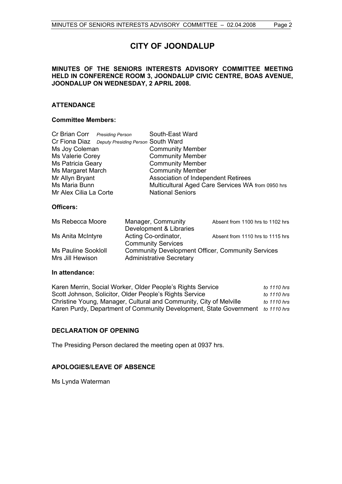# **CITY OF JOONDALUP**

#### **MINUTES OF THE SENIORS INTERESTS ADVISORY COMMITTEE MEETING HELD IN CONFERENCE ROOM 3, JOONDALUP CIVIC CENTRE, BOAS AVENUE, JOONDALUP ON WEDNESDAY, 2 APRIL 2008.**

### **ATTENDANCE**

#### **Committee Members:**

| Cr Brian Corr Presiding Person |                                                  | South-East Ward                                   |
|--------------------------------|--------------------------------------------------|---------------------------------------------------|
|                                | Cr Fiona Diaz Deputy Presiding Person South Ward |                                                   |
| Ms Joy Coleman                 |                                                  | <b>Community Member</b>                           |
| Ms Valerie Corey               |                                                  | <b>Community Member</b>                           |
| Ms Patricia Geary              |                                                  | <b>Community Member</b>                           |
| Ms Margaret March              |                                                  | <b>Community Member</b>                           |
| Mr Allyn Bryant                |                                                  | Association of Independent Retirees               |
| Ms Maria Bunn                  |                                                  | Multicultural Aged Care Services WA from 0950 hrs |
| Mr Alex Cilia La Corte         |                                                  | <b>National Seniors</b>                           |

#### **Officers:**

|                                                          | Absent from 1100 hrs to 1102 hrs |
|----------------------------------------------------------|----------------------------------|
| Development & Libraries                                  |                                  |
| Acting Co-ordinator,                                     | Absent from 1110 hrs to 1115 hrs |
| <b>Community Services</b>                                |                                  |
| <b>Community Development Officer, Community Services</b> |                                  |
| <b>Administrative Secretary</b>                          |                                  |
|                                                          | Manager, Community               |

#### **In attendance:**

| Karen Merrin, Social Worker, Older People's Rights Service                     | to 1110 hrs |
|--------------------------------------------------------------------------------|-------------|
| Scott Johnson, Solicitor, Older People's Rights Service                        | to 1110 hrs |
| Christine Young, Manager, Cultural and Community, City of Melville             | to 1110 hrs |
| Karen Purdy, Department of Community Development, State Government to 1110 hrs |             |

### **DECLARATION OF OPENING**

The Presiding Person declared the meeting open at 0937 hrs.

#### **APOLOGIES/LEAVE OF ABSENCE**

Ms Lynda Waterman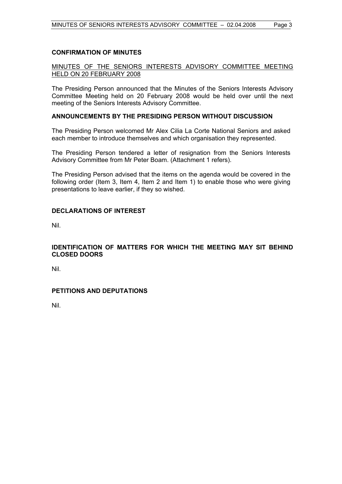#### **CONFIRMATION OF MINUTES**

#### MINUTES OF THE SENIORS INTERESTS ADVISORY COMMITTEE MEETING HELD ON 20 FEBRUARY 2008

The Presiding Person announced that the Minutes of the Seniors Interests Advisory Committee Meeting held on 20 February 2008 would be held over until the next meeting of the Seniors Interests Advisory Committee.

#### **ANNOUNCEMENTS BY THE PRESIDING PERSON WITHOUT DISCUSSION**

The Presiding Person welcomed Mr Alex Cilia La Corte National Seniors and asked each member to introduce themselves and which organisation they represented.

The Presiding Person tendered a letter of resignation from the Seniors Interests Advisory Committee from Mr Peter Boam. (Attachment 1 refers).

The Presiding Person advised that the items on the agenda would be covered in the following order (Item 3, Item 4, Item 2 and Item 1) to enable those who were giving presentations to leave earlier, if they so wished.

#### **DECLARATIONS OF INTEREST**

Nil.

#### **IDENTIFICATION OF MATTERS FOR WHICH THE MEETING MAY SIT BEHIND CLOSED DOORS**

Nil.

### **PETITIONS AND DEPUTATIONS**

Nil.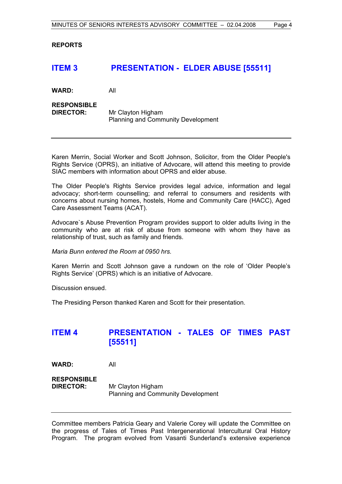**REPORTS** 

## **ITEM 3 PRESENTATION - ELDER ABUSE [55511]**

**WARD:** All

# **RESPONSIBLE**

**DIRECTOR:** Mr Clayton Higham Planning and Community Development

Karen Merrin, Social Worker and Scott Johnson, Solicitor, from the Older People's Rights Service (OPRS), an initiative of Advocare, will attend this meeting to provide SIAC members with information about OPRS and elder abuse.

The Older People's Rights Service provides legal advice, information and legal advocacy; short-term counselling; and referral to consumers and residents with concerns about nursing homes, hostels, Home and Community Care (HACC), Aged Care Assessment Teams (ACAT).

Advocare`s Abuse Prevention Program provides support to older adults living in the community who are at risk of abuse from someone with whom they have as relationship of trust, such as family and friends.

*Maria Bunn entered the Room at 0950 hrs.* 

Karen Merrin and Scott Johnson gave a rundown on the role of 'Older People's Rights Service' (OPRS) which is an initiative of Advocare.

Discussion ensued.

The Presiding Person thanked Karen and Scott for their presentation.

# **ITEM 4 PRESENTATION - TALES OF TIMES PAST [55511]**

**WARD:** All

**RESPONSIBLE DIRECTOR:** Mr Clayton Higham Planning and Community Development

Committee members Patricia Geary and Valerie Corey will update the Committee on the progress of Tales of Times Past Intergenerational Intercultural Oral History Program. The program evolved from Vasanti Sunderland's extensive experience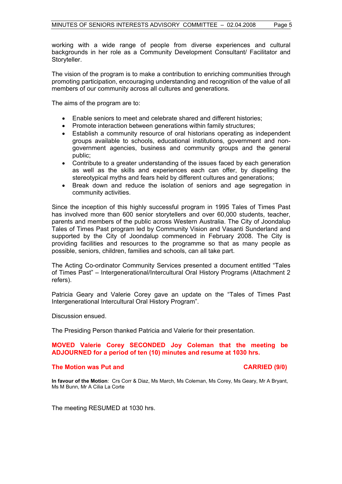working with a wide range of people from diverse experiences and cultural backgrounds in her role as a Community Development Consultant/ Facilitator and Storyteller.

The vision of the program is to make a contribution to enriching communities through promoting participation, encouraging understanding and recognition of the value of all members of our community across all cultures and generations.

The aims of the program are to:

- Enable seniors to meet and celebrate shared and different histories;
- Promote interaction between generations within family structures;
- Establish a community resource of oral historians operating as independent groups available to schools, educational institutions, government and nongovernment agencies, business and community groups and the general public;
- Contribute to a greater understanding of the issues faced by each generation as well as the skills and experiences each can offer, by dispelling the stereotypical myths and fears held by different cultures and generations;
- Break down and reduce the isolation of seniors and age segregation in community activities.

Since the inception of this highly successful program in 1995 Tales of Times Past has involved more than 600 senior storytellers and over 60,000 students, teacher, parents and members of the public across Western Australia. The City of Joondalup Tales of Times Past program led by Community Vision and Vasanti Sunderland and supported by the City of Joondalup commenced in February 2008. The City is providing facilities and resources to the programme so that as many people as possible, seniors, children, families and schools, can all take part.

The Acting Co-ordinator Community Services presented a document entitled "Tales of Times Past" – Intergenerational/Intercultural Oral History Programs (Attachment 2 refers).

Patricia Geary and Valerie Corey gave an update on the "Tales of Times Past Intergenerational Intercultural Oral History Program".

Discussion ensued.

The Presiding Person thanked Patricia and Valerie for their presentation.

#### **MOVED Valerie Corey SECONDED Joy Coleman that the meeting be ADJOURNED for a period of ten (10) minutes and resume at 1030 hrs.**

#### **The Motion was Put and CARRIED (9/0) CARRIED (9/0)**

**In favour of the Motion**: Crs Corr & Diaz, Ms March, Ms Coleman, Ms Corey, Ms Geary, Mr A Bryant, Ms M Bunn, Mr A Cilia La Corte

The meeting RESUMED at 1030 hrs.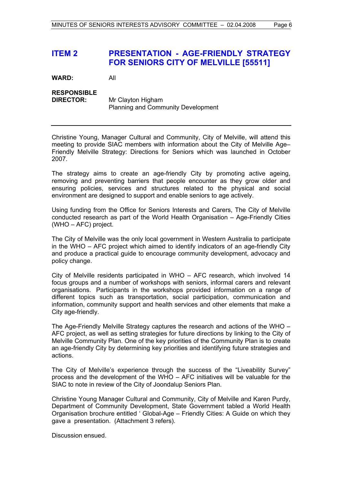# **ITEM 2 PRESENTATION - AGE-FRIENDLY STRATEGY FOR SENIORS CITY OF MELVILLE [55511]**

**WARD:** All

# **RESPONSIBLE**

**DIRECTOR:** Mr Clayton Higham Planning and Community Development

Christine Young, Manager Cultural and Community, City of Melville, will attend this meeting to provide SIAC members with information about the City of Melville Age– Friendly Melville Strategy: Directions for Seniors which was launched in October 2007.

The strategy aims to create an age-friendly City by promoting active ageing, removing and preventing barriers that people encounter as they grow older and ensuring policies, services and structures related to the physical and social environment are designed to support and enable seniors to age actively.

Using funding from the Office for Seniors Interests and Carers, The City of Melville conducted research as part of the World Health Organisation – Age-Friendly Cities (WHO – AFC) project.

The City of Melville was the only local government in Western Australia to participate in the WHO – AFC project which aimed to identify indicators of an age-friendly City and produce a practical guide to encourage community development, advocacy and policy change.

City of Melville residents participated in WHO – AFC research, which involved 14 focus groups and a number of workshops with seniors, informal carers and relevant organisations. Participants in the workshops provided information on a range of different topics such as transportation, social participation, communication and information, community support and health services and other elements that make a City age-friendly.

The Age-Friendly Melville Strategy captures the research and actions of the WHO – AFC project, as well as setting strategies for future directions by linking to the City of Melville Community Plan. One of the key priorities of the Community Plan is to create an age-friendly City by determining key priorities and identifying future strategies and actions.

The City of Melville's experience through the success of the "Liveability Survey" process and the development of the WHO – AFC initiatives will be valuable for the SIAC to note in review of the City of Joondalup Seniors Plan.

Christine Young Manager Cultural and Community, City of Melville and Karen Purdy, Department of Community Development, State Government tabled a World Health Organisation brochure entitled ' Global-Age – Friendly Cities: A Guide on which they gave a presentation. (Attachment 3 refers).

Discussion ensued.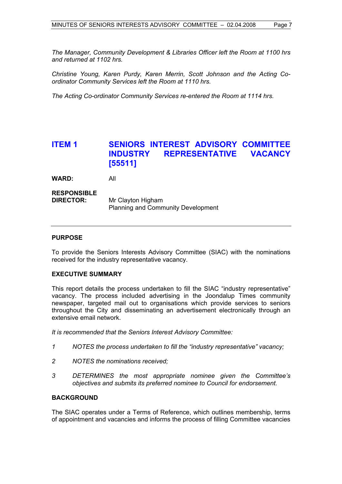*The Manager, Community Development & Libraries Officer left the Room at 1100 hrs and returned at 1102 hrs.* 

*Christine Young, Karen Purdy, Karen Merrin, Scott Johnson and the Acting Coordinator Community Services left the Room at 1110 hrs.* 

*The Acting Co-ordinator Community Services re-entered the Room at 1114 hrs.* 

# **ITEM 1 SENIORS INTEREST ADVISORY COMMITTEE INDUSTRY REPRESENTATIVE VACANCY [55511]**

**WARD:** All

#### **RESPONSIBLE DIRECTOR:** Mr Clayton Higham Planning and Community Development

#### **PURPOSE**

To provide the Seniors Interests Advisory Committee (SIAC) with the nominations received for the industry representative vacancy.

#### **EXECUTIVE SUMMARY**

This report details the process undertaken to fill the SIAC "industry representative" vacancy. The process included advertising in the Joondalup Times community newspaper, targeted mail out to organisations which provide services to seniors throughout the City and disseminating an advertisement electronically through an extensive email network.

*It is recommended that the Seniors Interest Advisory Committee:* 

- *1 NOTES the process undertaken to fill the "industry representative" vacancy;*
- *2 NOTES the nominations received;*
- *3 DETERMINES the most appropriate nominee given the Committee's objectives and submits its preferred nominee to Council for endorsement.*

#### **BACKGROUND**

The SIAC operates under a Terms of Reference, which outlines membership, terms of appointment and vacancies and informs the process of filling Committee vacancies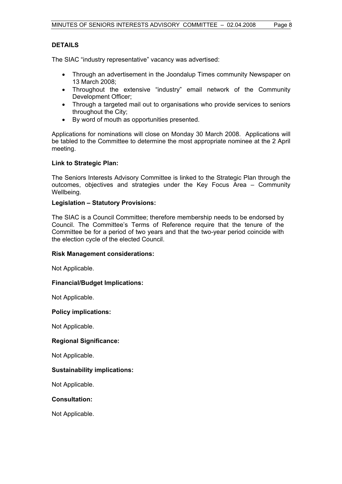#### **DETAILS**

The SIAC "industry representative" vacancy was advertised:

- Through an advertisement in the Joondalup Times community Newspaper on 13 March 2008;
- Throughout the extensive "industry" email network of the Community Development Officer;
- Through a targeted mail out to organisations who provide services to seniors throughout the City;
- By word of mouth as opportunities presented.

Applications for nominations will close on Monday 30 March 2008. Applications will be tabled to the Committee to determine the most appropriate nominee at the 2 April meeting.

#### **Link to Strategic Plan:**

The Seniors Interests Advisory Committee is linked to the Strategic Plan through the outcomes, objectives and strategies under the Key Focus Area – Community Wellbeing.

#### **Legislation – Statutory Provisions:**

The SIAC is a Council Committee; therefore membership needs to be endorsed by Council. The Committee's Terms of Reference require that the tenure of the Committee be for a period of two years and that the two-year period coincide with the election cycle of the elected Council.

#### **Risk Management considerations:**

Not Applicable.

#### **Financial/Budget Implications:**

Not Applicable.

#### **Policy implications:**

Not Applicable.

#### **Regional Significance:**

Not Applicable.

#### **Sustainability implications:**

Not Applicable.

#### **Consultation:**

Not Applicable.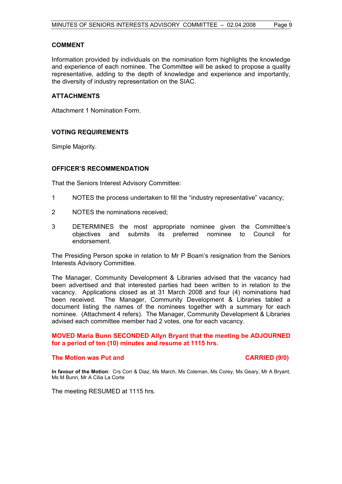#### **COMMENT**

Information provided by individuals on the nomination form highlights the knowledge and experience of each nominee. The Committee will be asked to propose a quality representative, adding to the depth of knowledge and experience and importantly, the diversity of industry representation on the SIAC.

#### **ATTACHMENTS**

Attachment 1 Nomination Form.

### **VOTING REQUIREMENTS**

Simple Majority.

#### **OFFICER'S RECOMMENDATION**

That the Seniors Interest Advisory Committee:

- 1 NOTES the process undertaken to fill the "industry representative" vacancy;
- 2 NOTES the nominations received;
- 3 DETERMINES the most appropriate nominee given the Committee's objectives and submits its preferred nominee to Council for endorsement.

The Presiding Person spoke in relation to Mr P Boam's resignation from the Seniors Interests Advisory Committee.

The Manager, Community Development & Libraries advised that the vacancy had been advertised and that interested parties had been written to in relation to the vacancy. Applications closed as at 31 March 2008 and four (4) nominations had been received. The Manager, Community Development & Libraries tabled a document listing the names of the nominees together with a summary for each nominee. (Attachment 4 refers). The Manager, Community Development & Libraries advised each committee member had 2 votes, one for each vacancy.

#### **MOVED Maria Bunn SECONDED Allyn Bryant that the meeting be ADJOURNED for a period of ten (10) minutes and resume at 1115 hrs.**

#### **The Motion was Put and CARRIED (9/0) CARRIED (9/0)**

**In favour of the Motion**: Crs Corr & Diaz, Ms March, Ms Coleman, Ms Corey, Ms Geary, Mr A Bryant, Ms M Bunn, Mr A Cilia La Corte

The meeting RESUMED at 1115 hrs.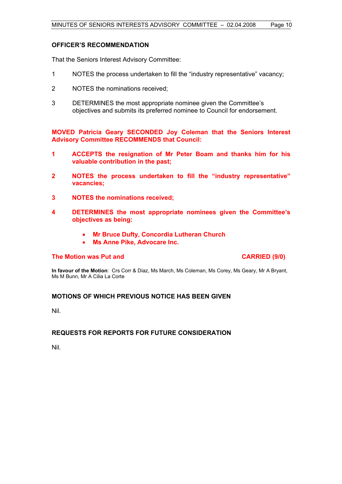#### **OFFICER'S RECOMMENDATION**

That the Seniors Interest Advisory Committee:

- 1 NOTES the process undertaken to fill the "industry representative" vacancy;
- 2 NOTES the nominations received;
- 3 DETERMINES the most appropriate nominee given the Committee's objectives and submits its preferred nominee to Council for endorsement.

**MOVED Patricia Geary SECONDED Joy Coleman that the Seniors Interest Advisory Committee RECOMMENDS that Council:** 

- **1 ACCEPTS the resignation of Mr Peter Boam and thanks him for his valuable contribution in the past;**
- **2 NOTES the process undertaken to fill the "industry representative" vacancies;**
- **3 NOTES the nominations received;**
- **4 DETERMINES the most appropriate nominees given the Committee's objectives as being:** 
	- **Mr Bruce Dufty, Concordia Lutheran Church**
	- **Ms Anne Pike, Advocare Inc.**

#### **The Motion was Put and CARRIED (9/0) CARRIED (9/0)**

**In favour of the Motion**: Crs Corr & Diaz, Ms March, Ms Coleman, Ms Corey, Ms Geary, Mr A Bryant, Ms M Bunn, Mr A Cilia La Corte

#### **MOTIONS OF WHICH PREVIOUS NOTICE HAS BEEN GIVEN**

Nil.

#### **REQUESTS FOR REPORTS FOR FUTURE CONSIDERATION**

Nil.